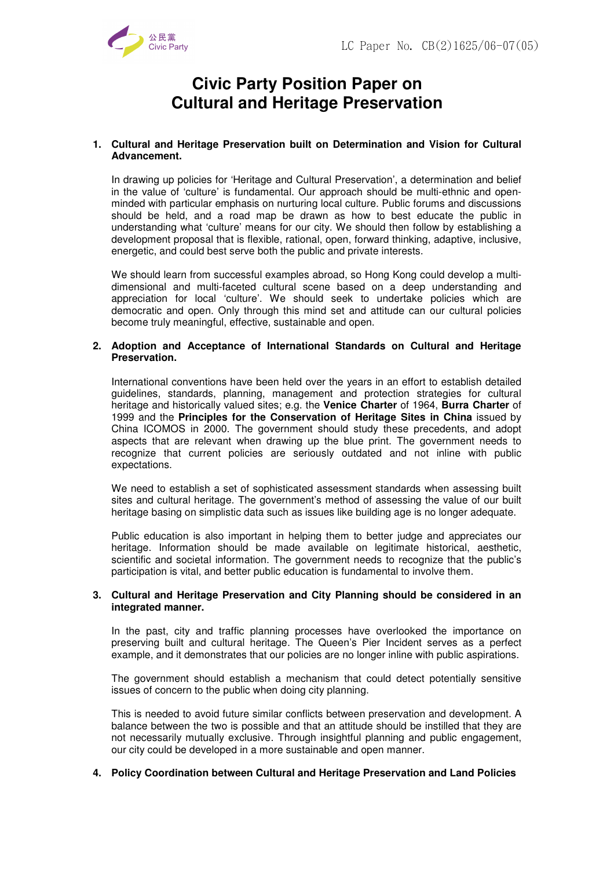

# **Civic Party Position Paper on Cultural and Heritage Preservation**

## **1. Cultural and Heritage Preservation built on Determination and Vision for Cultural Advancement.**

In drawing up policies for 'Heritage and Cultural Preservation', a determination and belief in the value of 'culture' is fundamental. Our approach should be multi-ethnic and openminded with particular emphasis on nurturing local culture. Public forums and discussions should be held, and a road map be drawn as how to best educate the public in understanding what 'culture' means for our city. We should then follow by establishing a development proposal that is flexible, rational, open, forward thinking, adaptive, inclusive, energetic, and could best serve both the public and private interests.

We should learn from successful examples abroad, so Hong Kong could develop a multidimensional and multi-faceted cultural scene based on a deep understanding and appreciation for local 'culture'. We should seek to undertake policies which are democratic and open. Only through this mind set and attitude can our cultural policies become truly meaningful, effective, sustainable and open.

## **2. Adoption and Acceptance of International Standards on Cultural and Heritage Preservation.**

International conventions have been held over the years in an effort to establish detailed guidelines, standards, planning, management and protection strategies for cultural heritage and historically valued sites; e.g. the **Venice Charter** of 1964, **Burra Charter** of 1999 and the **Principles for the Conservation of Heritage Sites in China** issued by China ICOMOS in 2000. The government should study these precedents, and adopt aspects that are relevant when drawing up the blue print. The government needs to recognize that current policies are seriously outdated and not inline with public expectations.

We need to establish a set of sophisticated assessment standards when assessing built sites and cultural heritage. The government's method of assessing the value of our built heritage basing on simplistic data such as issues like building age is no longer adequate.

Public education is also important in helping them to better judge and appreciates our heritage. Information should be made available on legitimate historical, aesthetic, scientific and societal information. The government needs to recognize that the public's participation is vital, and better public education is fundamental to involve them.

## **3. Cultural and Heritage Preservation and City Planning should be considered in an integrated manner.**

In the past, city and traffic planning processes have overlooked the importance on preserving built and cultural heritage. The Queen's Pier Incident serves as a perfect example, and it demonstrates that our policies are no longer inline with public aspirations.

The government should establish a mechanism that could detect potentially sensitive issues of concern to the public when doing city planning.

This is needed to avoid future similar conflicts between preservation and development. A balance between the two is possible and that an attitude should be instilled that they are not necessarily mutually exclusive. Through insightful planning and public engagement, our city could be developed in a more sustainable and open manner.

## **4. Policy Coordination between Cultural and Heritage Preservation and Land Policies**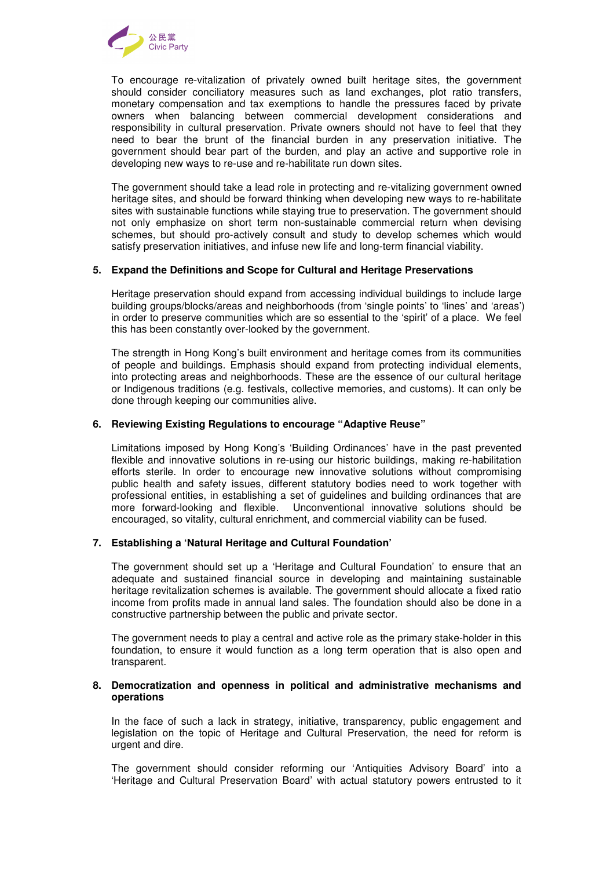

To encourage re-vitalization of privately owned built heritage sites, the government should consider conciliatory measures such as land exchanges, plot ratio transfers, monetary compensation and tax exemptions to handle the pressures faced by private owners when balancing between commercial development considerations and responsibility in cultural preservation. Private owners should not have to feel that they need to bear the brunt of the financial burden in any preservation initiative. The government should bear part of the burden, and play an active and supportive role in developing new ways to re-use and re-habilitate run down sites.

The government should take a lead role in protecting and re-vitalizing government owned heritage sites, and should be forward thinking when developing new ways to re-habilitate sites with sustainable functions while staying true to preservation. The government should not only emphasize on short term non-sustainable commercial return when devising schemes, but should pro-actively consult and study to develop schemes which would satisfy preservation initiatives, and infuse new life and long-term financial viability.

## **5. Expand the Definitions and Scope for Cultural and Heritage Preservations**

Heritage preservation should expand from accessing individual buildings to include large building groups/blocks/areas and neighborhoods (from 'single points' to 'lines' and 'areas') in order to preserve communities which are so essential to the 'spirit' of a place. We feel this has been constantly over-looked by the government.

The strength in Hong Kong's built environment and heritage comes from its communities of people and buildings. Emphasis should expand from protecting individual elements, into protecting areas and neighborhoods. These are the essence of our cultural heritage or Indigenous traditions (e.g. festivals, collective memories, and customs). It can only be done through keeping our communities alive.

## **6. Reviewing Existing Regulations to encourage "Adaptive Reuse"**

Limitations imposed by Hong Kong's 'Building Ordinances' have in the past prevented flexible and innovative solutions in re-using our historic buildings, making re-habilitation efforts sterile. In order to encourage new innovative solutions without compromising public health and safety issues, different statutory bodies need to work together with professional entities, in establishing a set of guidelines and building ordinances that are more forward-looking and flexible. Unconventional innovative solutions should be encouraged, so vitality, cultural enrichment, and commercial viability can be fused.

#### **7. Establishing a 'Natural Heritage and Cultural Foundation'**

The government should set up a 'Heritage and Cultural Foundation' to ensure that an adequate and sustained financial source in developing and maintaining sustainable heritage revitalization schemes is available. The government should allocate a fixed ratio income from profits made in annual land sales. The foundation should also be done in a constructive partnership between the public and private sector.

The government needs to play a central and active role as the primary stake-holder in this foundation, to ensure it would function as a long term operation that is also open and transparent.

## **8. Democratization and openness in political and administrative mechanisms and operations**

In the face of such a lack in strategy, initiative, transparency, public engagement and legislation on the topic of Heritage and Cultural Preservation, the need for reform is urgent and dire.

The government should consider reforming our 'Antiquities Advisory Board' into a 'Heritage and Cultural Preservation Board' with actual statutory powers entrusted to it